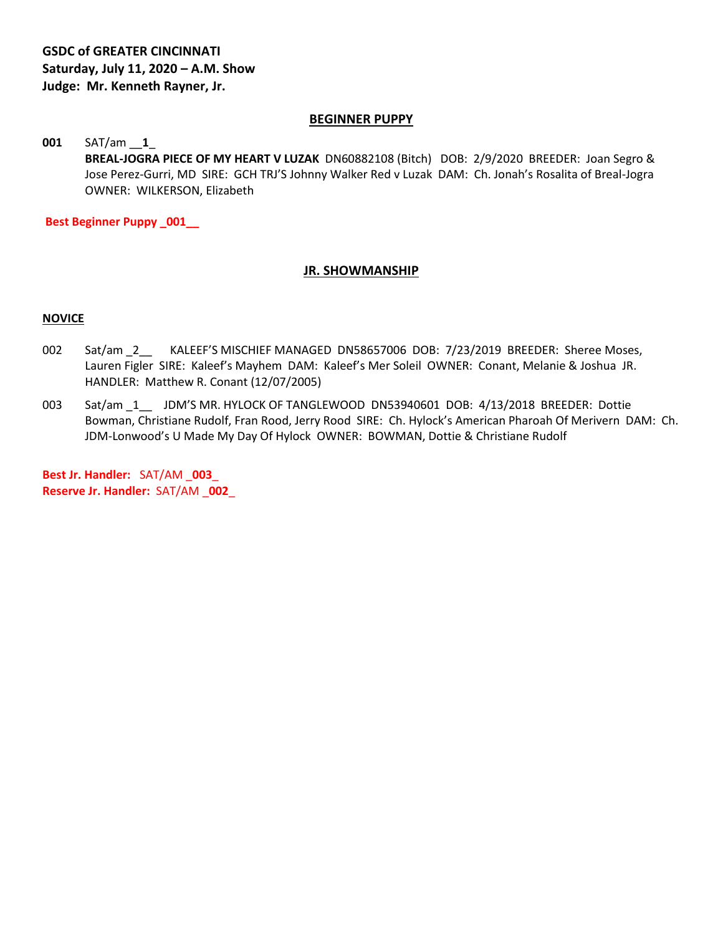#### **BEGINNER PUPPY**

# **001** SAT/am \_\_**1**\_ **BREAL-JOGRA PIECE OF MY HEART V LUZAK** DN60882108 (Bitch) DOB: 2/9/2020 BREEDER: Joan Segro & Jose Perez-Gurri, MD SIRE: GCH TRJ'S Johnny Walker Red v Luzak DAM: Ch. Jonah's Rosalita of Breal-Jogra OWNER: WILKERSON, Elizabeth

**Best Beginner Puppy \_001\_\_**

#### **JR. SHOWMANSHIP**

#### **NOVICE**

- 002 Sat/am 2\_\_ KALEEF'S MISCHIEF MANAGED DN58657006 DOB: 7/23/2019 BREEDER: Sheree Moses, Lauren Figler SIRE: Kaleef's Mayhem DAM: Kaleef's Mer Soleil OWNER: Conant, Melanie & Joshua JR. HANDLER: Matthew R. Conant (12/07/2005)
- 003 Sat/am 1 JDM'S MR. HYLOCK OF TANGLEWOOD DN53940601 DOB: 4/13/2018 BREEDER: Dottie Bowman, Christiane Rudolf, Fran Rood, Jerry Rood SIRE: Ch. Hylock's American Pharoah Of Merivern DAM: Ch. JDM-Lonwood's U Made My Day Of Hylock OWNER: BOWMAN, Dottie & Christiane Rudolf

**Best Jr. Handler:** SAT/AM \_**003**\_ **Reserve Jr. Handler:** SAT/AM \_**002**\_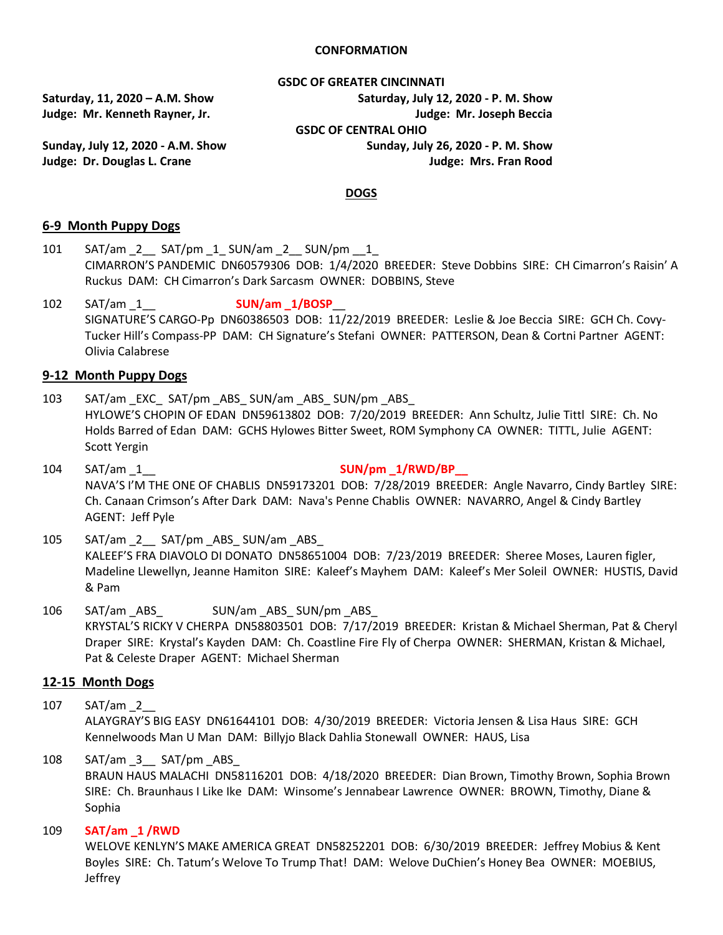#### **CONFORMATION**

**GSDC OF GREATER CINCINNATI**

**Sunday, July 12, 2020 - A.M. Show Sunday, July 26, 2020 - P. M. Show Judge: Dr. Douglas L. Crane Judge: Mrs. Fran Rood**

**Saturday, 11, 2020 – A.M. Show Saturday, July 12, 2020 - P. M. Show Judge: Mr. Kenneth Rayner, Jr. Judge: Mr. Joseph Beccia GSDC OF CENTRAL OHIO**

#### **DOGS**

#### **6-9 Month Puppy Dogs**

- 101 SAT/am 2 SAT/pm 1 SUN/am 2 SUN/pm 1 CIMARRON'S PANDEMIC DN60579306 DOB: 1/4/2020 BREEDER: Steve Dobbins SIRE: CH Cimarron's Raisin' A Ruckus DAM: CH Cimarron's Dark Sarcasm OWNER: DOBBINS, Steve
- 102 SAT/am \_1\_\_ **SUN/am \_1/BOSP**\_\_ SIGNATURE'S CARGO-Pp DN60386503 DOB: 11/22/2019 BREEDER: Leslie & Joe Beccia SIRE: GCH Ch. Covy-Tucker Hill's Compass-PP DAM: CH Signature's Stefani OWNER: PATTERSON, Dean & Cortni Partner AGENT: Olivia Calabrese

#### **9-12 Month Puppy Dogs**

- 103 SAT/am EXC SAT/pm ABS SUN/am ABS SUN/pm ABS HYLOWE'S CHOPIN OF EDAN DN59613802 DOB: 7/20/2019 BREEDER: Ann Schultz, Julie Tittl SIRE: Ch. No Holds Barred of Edan DAM: GCHS Hylowes Bitter Sweet, ROM Symphony CA OWNER: TITTL, Julie AGENT: Scott Yergin
- 104 SAT/am \_1\_\_ **SUN/pm \_1/RWD/BP\_\_** NAVA'S I'M THE ONE OF CHABLIS DN59173201 DOB: 7/28/2019 BREEDER: Angle Navarro, Cindy Bartley SIRE: Ch. Canaan Crimson's After Dark DAM: Nava's Penne Chablis OWNER: NAVARRO, Angel & Cindy Bartley AGENT: Jeff Pyle
- 105 SAT/am 2 SAT/pm ABS SUN/am ABS KALEEF'S FRA DIAVOLO DI DONATO DN58651004 DOB: 7/23/2019 BREEDER: Sheree Moses, Lauren figler, Madeline Llewellyn, Jeanne Hamiton SIRE: Kaleef's Mayhem DAM: Kaleef's Mer Soleil OWNER: HUSTIS, David & Pam
- 106 SAT/am \_ABS\_ SUN/am \_ABS\_ SUN/pm \_ABS\_ KRYSTAL'S RICKY V CHERPA DN58803501 DOB: 7/17/2019 BREEDER: Kristan & Michael Sherman, Pat & Cheryl Draper SIRE: Krystal's Kayden DAM: Ch. Coastline Fire Fly of Cherpa OWNER: SHERMAN, Kristan & Michael, Pat & Celeste Draper AGENT: Michael Sherman

#### **12-15 Month Dogs**

107 SAT/am \_2\_\_

ALAYGRAY'S BIG EASY DN61644101 DOB: 4/30/2019 BREEDER: Victoria Jensen & Lisa Haus SIRE: GCH Kennelwoods Man U Man DAM: Billyjo Black Dahlia Stonewall OWNER: HAUS, Lisa

108 SAT/am 3 SAT/pm ABS

BRAUN HAUS MALACHI DN58116201 DOB: 4/18/2020 BREEDER: Dian Brown, Timothy Brown, Sophia Brown SIRE: Ch. Braunhaus I Like Ike DAM: Winsome's Jennabear Lawrence OWNER: BROWN, Timothy, Diane & Sophia

109 **SAT/am \_1 /RWD**

WELOVE KENLYN'S MAKE AMERICA GREAT DN58252201 DOB: 6/30/2019 BREEDER: Jeffrey Mobius & Kent Boyles SIRE: Ch. Tatum's Welove To Trump That! DAM: Welove DuChien's Honey Bea OWNER: MOEBIUS, Jeffrey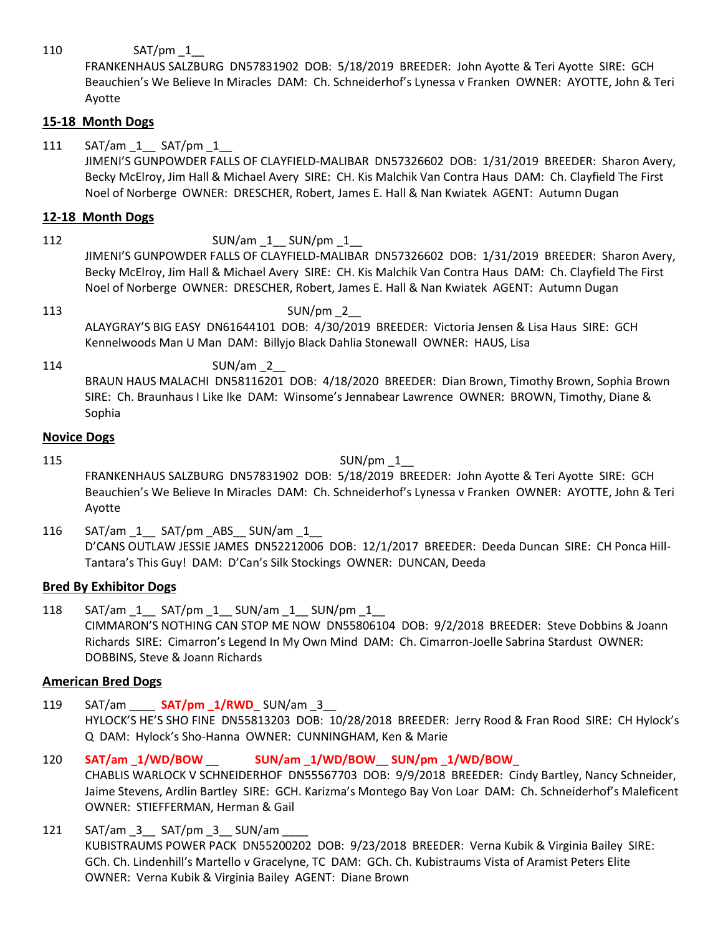110 SAT/pm 1

FRANKENHAUS SALZBURG DN57831902 DOB: 5/18/2019 BREEDER: John Ayotte & Teri Ayotte SIRE: GCH Beauchien's We Believe In Miracles DAM: Ch. Schneiderhof's Lynessa v Franken OWNER: AYOTTE, John & Teri Ayotte

# **15-18 Month Dogs**

111 SAT/am 1 SAT/pm 1

JIMENI'S GUNPOWDER FALLS OF CLAYFIELD-MALIBAR DN57326602 DOB: 1/31/2019 BREEDER: Sharon Avery, Becky McElroy, Jim Hall & Michael Avery SIRE: CH. Kis Malchik Van Contra Haus DAM: Ch. Clayfield The First Noel of Norberge OWNER: DRESCHER, Robert, James E. Hall & Nan Kwiatek AGENT: Autumn Dugan

# **12-18 Month Dogs**

# 112 SUN/am \_1 \_\_ SUN/pm \_1

JIMENI'S GUNPOWDER FALLS OF CLAYFIELD-MALIBAR DN57326602 DOB: 1/31/2019 BREEDER: Sharon Avery, Becky McElroy, Jim Hall & Michael Avery SIRE: CH. Kis Malchik Van Contra Haus DAM: Ch. Clayfield The First Noel of Norberge OWNER: DRESCHER, Robert, James E. Hall & Nan Kwiatek AGENT: Autumn Dugan

# 113 SUN/pm 2 ALAYGRAY'S BIG EASY DN61644101 DOB: 4/30/2019 BREEDER: Victoria Jensen & Lisa Haus SIRE: GCH Kennelwoods Man U Man DAM: Billyjo Black Dahlia Stonewall OWNER: HAUS, Lisa

114 SUN/am 2 BRAUN HAUS MALACHI DN58116201 DOB: 4/18/2020 BREEDER: Dian Brown, Timothy Brown, Sophia Brown SIRE: Ch. Braunhaus I Like Ike DAM: Winsome's Jennabear Lawrence OWNER: BROWN, Timothy, Diane & Sophia

## **Novice Dogs**

115 SUN/pm  $1$ 

FRANKENHAUS SALZBURG DN57831902 DOB: 5/18/2019 BREEDER: John Ayotte & Teri Ayotte SIRE: GCH Beauchien's We Believe In Miracles DAM: Ch. Schneiderhof's Lynessa v Franken OWNER: AYOTTE, John & Teri Ayotte

116 SAT/am 1 SAT/pm ABS SUN/am 1 D'CANS OUTLAW JESSIE JAMES DN52212006 DOB: 12/1/2017 BREEDER: Deeda Duncan SIRE: CH Ponca Hill-Tantara's This Guy! DAM: D'Can's Silk Stockings OWNER: DUNCAN, Deeda

# **Bred By Exhibitor Dogs**

118 SAT/am \_1\_\_ SAT/pm \_1\_\_ SUN/am \_1\_\_ SUN/pm \_1\_\_ CIMMARON'S NOTHING CAN STOP ME NOW DN55806104 DOB: 9/2/2018 BREEDER: Steve Dobbins & Joann Richards SIRE: Cimarron's Legend In My Own Mind DAM: Ch. Cimarron-Joelle Sabrina Stardust OWNER: DOBBINS, Steve & Joann Richards

# **American Bred Dogs**

- 119 SAT/am \_\_\_\_ **SAT/pm \_1/RWD**\_ SUN/am \_3\_\_ HYLOCK'S HE'S SHO FINE DN55813203 DOB: 10/28/2018 BREEDER: Jerry Rood & Fran Rood SIRE: CH Hylock's Q DAM: Hylock's Sho-Hanna OWNER: CUNNINGHAM, Ken & Marie
- 120 **SAT/am \_1/WD/BOW** \_\_ **SUN/am \_1/WD/BOW\_\_ SUN/pm \_1/WD/BOW\_**  CHABLIS WARLOCK V SCHNEIDERHOF DN55567703 DOB: 9/9/2018 BREEDER: Cindy Bartley, Nancy Schneider, Jaime Stevens, Ardlin Bartley SIRE: GCH. Karizma's Montego Bay Von Loar DAM: Ch. Schneiderhof's Maleficent OWNER: STIEFFERMAN, Herman & Gail
- 121 SAT/am 3 SAT/pm 3 SUN/am KUBISTRAUMS POWER PACK DN55200202 DOB: 9/23/2018 BREEDER: Verna Kubik & Virginia Bailey SIRE: GCh. Ch. Lindenhill's Martello v Gracelyne, TC DAM: GCh. Ch. Kubistraums Vista of Aramist Peters Elite OWNER: Verna Kubik & Virginia Bailey AGENT: Diane Brown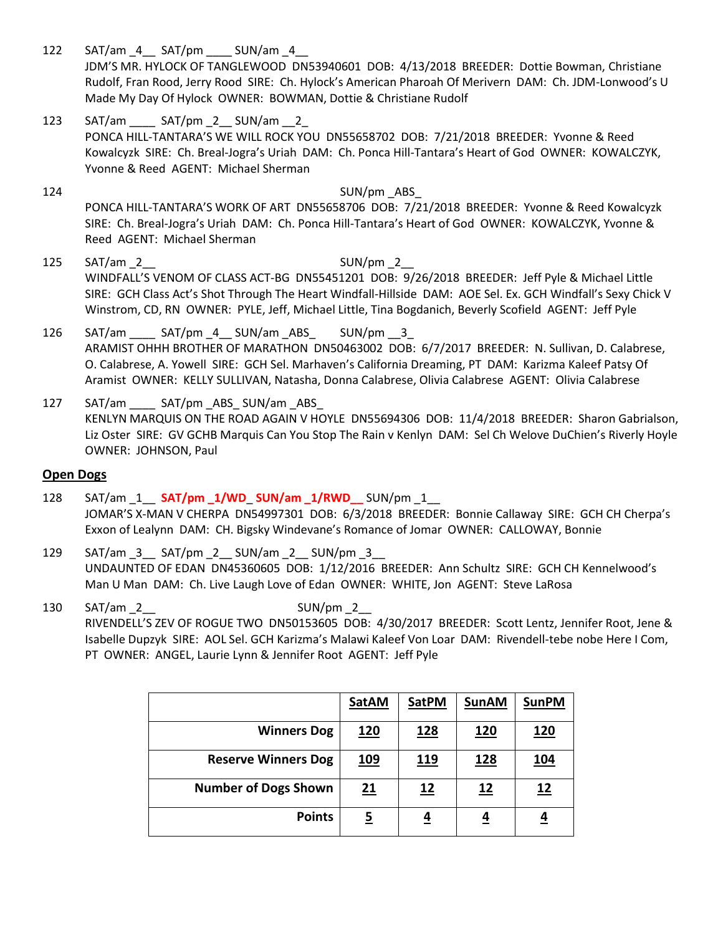122 SAT/am 4 SAT/pm SUN/am 4

JDM'S MR. HYLOCK OF TANGLEWOOD DN53940601 DOB: 4/13/2018 BREEDER: Dottie Bowman, Christiane Rudolf, Fran Rood, Jerry Rood SIRE: Ch. Hylock's American Pharoah Of Merivern DAM: Ch. JDM-Lonwood's U Made My Day Of Hylock OWNER: BOWMAN, Dottie & Christiane Rudolf

- 123 SAT/am SAT/pm 2 SUN/am 2 PONCA HILL-TANTARA'S WE WILL ROCK YOU DN55658702 DOB: 7/21/2018 BREEDER: Yvonne & Reed Kowalcyzk SIRE: Ch. Breal-Jogra's Uriah DAM: Ch. Ponca Hill-Tantara's Heart of God OWNER: KOWALCZYK, Yvonne & Reed AGENT: Michael Sherman
- 124 SUN/pm \_ABS PONCA HILL-TANTARA'S WORK OF ART DN55658706 DOB: 7/21/2018 BREEDER: Yvonne & Reed Kowalcyzk SIRE: Ch. Breal-Jogra's Uriah DAM: Ch. Ponca Hill-Tantara's Heart of God OWNER: KOWALCZYK, Yvonne & Reed AGENT: Michael Sherman
- 125 SAT/am 2 SUN/pm 2 WINDFALL'S VENOM OF CLASS ACT-BG DN55451201 DOB: 9/26/2018 BREEDER: Jeff Pyle & Michael Little SIRE: GCH Class Act's Shot Through The Heart Windfall-Hillside DAM: AOE Sel. Ex. GCH Windfall's Sexy Chick V Winstrom, CD, RN OWNER: PYLE, Jeff, Michael Little, Tina Bogdanich, Beverly Scofield AGENT: Jeff Pyle
- 126 SAT/am \_\_\_ SAT/pm 4 SUN/am ABS \_\_ SUN/pm \_\_ 3 ARAMIST OHHH BROTHER OF MARATHON DN50463002 DOB: 6/7/2017 BREEDER: N. Sullivan, D. Calabrese, O. Calabrese, A. Yowell SIRE: GCH Sel. Marhaven's California Dreaming, PT DAM: Karizma Kaleef Patsy Of Aramist OWNER: KELLY SULLIVAN, Natasha, Donna Calabrese, Olivia Calabrese AGENT: Olivia Calabrese
- 127 SAT/am \_\_\_\_ SAT/pm \_ABS\_ SUN/am \_ABS\_ KENLYN MARQUIS ON THE ROAD AGAIN V HOYLE DN55694306 DOB: 11/4/2018 BREEDER: Sharon Gabrialson, Liz Oster SIRE: GV GCHB Marquis Can You Stop The Rain v Kenlyn DAM: Sel Ch Welove DuChien's Riverly Hoyle OWNER: JOHNSON, Paul

## **Open Dogs**

- 128 SAT/am \_1\_\_ **SAT/pm \_1/WD**\_ **SUN/am \_1/RWD\_\_** SUN/pm \_1\_\_ JOMAR'S X-MAN V CHERPA DN54997301 DOB: 6/3/2018 BREEDER: Bonnie Callaway SIRE: GCH CH Cherpa's Exxon of Lealynn DAM: CH. Bigsky Windevane's Romance of Jomar OWNER: CALLOWAY, Bonnie
- 129 SAT/am 3 SAT/pm 2 SUN/am 2 SUN/pm 3 UNDAUNTED OF EDAN DN45360605 DOB: 1/12/2016 BREEDER: Ann Schultz SIRE: GCH CH Kennelwood's Man U Man DAM: Ch. Live Laugh Love of Edan OWNER: WHITE, Jon AGENT: Steve LaRosa
- 130 SAT/am 2 SUN/pm 2 RIVENDELL'S ZEV OF ROGUE TWO DN50153605 DOB: 4/30/2017 BREEDER: Scott Lentz, Jennifer Root, Jene & Isabelle Dupzyk SIRE: AOL Sel. GCH Karizma's Malawi Kaleef Von Loar DAM: Rivendell-tebe nobe Here I Com, PT OWNER: ANGEL, Laurie Lynn & Jennifer Root AGENT: Jeff Pyle

|                             | <b>SatAM</b>   | <b>SatPM</b> | <b>SunAM</b> | <b>SunPM</b> |
|-----------------------------|----------------|--------------|--------------|--------------|
| <b>Winners Dog</b>          | <u>120</u>     | <u>128</u>   | <u>120</u>   | <u>120</u>   |
| <b>Reserve Winners Dog</b>  | <u>109</u>     | <u>119</u>   | <u>128</u>   | <u> 104</u>  |
| <b>Number of Dogs Shown</b> | 21             | 12           | 12           | <u> 12</u>   |
| <b>Points</b>               | $\overline{5}$ | <u>4</u>     | <u>4</u>     | <u>4</u>     |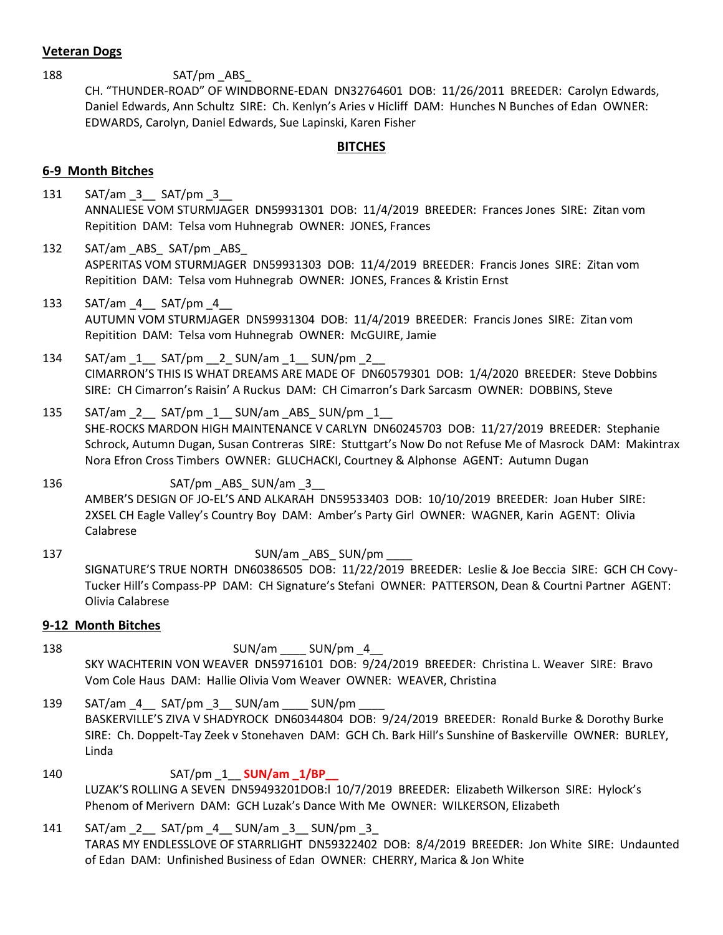## **Veteran Dogs**

188 SAT/pm ABS CH. "THUNDER-ROAD" OF WINDBORNE-EDAN DN32764601 DOB: 11/26/2011 BREEDER: Carolyn Edwards, Daniel Edwards, Ann Schultz SIRE: Ch. Kenlyn's Aries v Hicliff DAM: Hunches N Bunches of Edan OWNER: EDWARDS, Carolyn, Daniel Edwards, Sue Lapinski, Karen Fisher

#### **BITCHES**

#### **6-9 Month Bitches**

- 131 SAT/am 3 SAT/pm 3 ANNALIESE VOM STURMJAGER DN59931301 DOB: 11/4/2019 BREEDER: Frances Jones SIRE: Zitan vom Repitition DAM: Telsa vom Huhnegrab OWNER: JONES, Frances
- 132 SAT/am ABS SAT/pm ABS ASPERITAS VOM STURMJAGER DN59931303 DOB: 11/4/2019 BREEDER: Francis Jones SIRE: Zitan vom Repitition DAM: Telsa vom Huhnegrab OWNER: JONES, Frances & Kristin Ernst
- 133 SAT/am \_4\_\_ SAT/pm \_4\_\_ AUTUMN VOM STURMJAGER DN59931304 DOB: 11/4/2019 BREEDER: Francis Jones SIRE: Zitan vom Repitition DAM: Telsa vom Huhnegrab OWNER: McGUIRE, Jamie
- 134  $SAT/am$  1  $SAT/pm$  2 SUN/am 1 SUN/pm 2 CIMARRON'S THIS IS WHAT DREAMS ARE MADE OF DN60579301 DOB: 1/4/2020 BREEDER: Steve Dobbins SIRE: CH Cimarron's Raisin' A Ruckus DAM: CH Cimarron's Dark Sarcasm OWNER: DOBBINS, Steve
- 135  $SAT/am$  2  $SAT/pm$  1  $SUM/am$  ABS SUN/pm 1 SHE-ROCKS MARDON HIGH MAINTENANCE V CARLYN DN60245703 DOB: 11/27/2019 BREEDER: Stephanie Schrock, Autumn Dugan, Susan Contreras SIRE: Stuttgart's Now Do not Refuse Me of Masrock DAM: Makintrax Nora Efron Cross Timbers OWNER: GLUCHACKI, Courtney & Alphonse AGENT: Autumn Dugan
- 136 SAT/pm \_ABS\_ SUN/am \_3 AMBER'S DESIGN OF JO-EL'S AND ALKARAH DN59533403 DOB: 10/10/2019 BREEDER: Joan Huber SIRE: 2XSEL CH Eagle Valley's Country Boy DAM: Amber's Party Girl OWNER: WAGNER, Karin AGENT: Olivia Calabrese
- 137 SUN/am ABS\_SUN/pm SIGNATURE'S TRUE NORTH DN60386505 DOB: 11/22/2019 BREEDER: Leslie & Joe Beccia SIRE: GCH CH Covy-Tucker Hill's Compass-PP DAM: CH Signature's Stefani OWNER: PATTERSON, Dean & Courtni Partner AGENT: Olivia Calabrese

#### **9-12 Month Bitches**

- 138 SUN/am SUN/pm 4 SKY WACHTERIN VON WEAVER DN59716101 DOB: 9/24/2019 BREEDER: Christina L. Weaver SIRE: Bravo Vom Cole Haus DAM: Hallie Olivia Vom Weaver OWNER: WEAVER, Christina
- 139 SAT/am 4 SAT/pm 3 SUN/am SUN/pm BASKERVILLE'S ZIVA V SHADYROCK DN60344804 DOB: 9/24/2019 BREEDER: Ronald Burke & Dorothy Burke SIRE: Ch. Doppelt-Tay Zeek v Stonehaven DAM: GCH Ch. Bark Hill's Sunshine of Baskerville OWNER: BURLEY, Linda
- 140 **SAT/pm 1 <b>SUN/am 1/BP** LUZAK'S ROLLING A SEVEN DN59493201DOB:l 10/7/2019 BREEDER: Elizabeth Wilkerson SIRE: Hylock's Phenom of Merivern DAM: GCH Luzak's Dance With Me OWNER: WILKERSON, Elizabeth
- 141 SAT/am 2 SAT/pm 4 SUN/am 3 SUN/pm 3 TARAS MY ENDLESSLOVE OF STARRLIGHT DN59322402 DOB: 8/4/2019 BREEDER: Jon White SIRE: Undaunted of Edan DAM: Unfinished Business of Edan OWNER: CHERRY, Marica & Jon White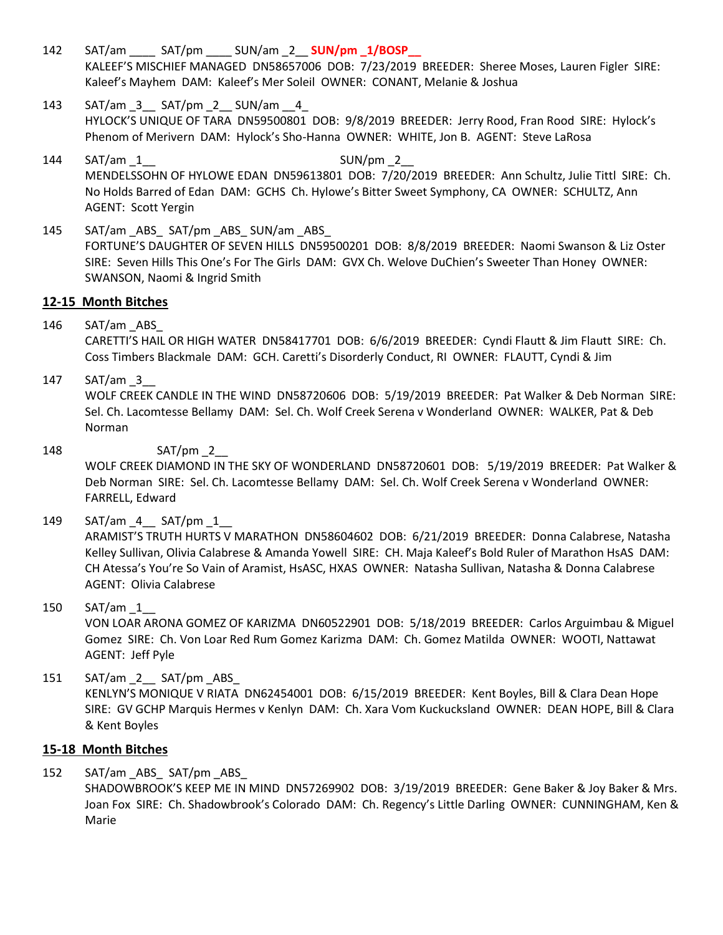- 142 SAT/am \_\_\_\_ SAT/pm \_\_\_\_ SUN/am \_2\_\_ **SUN/pm \_1/BOSP\_\_** KALEEF'S MISCHIEF MANAGED DN58657006 DOB: 7/23/2019 BREEDER: Sheree Moses, Lauren Figler SIRE: Kaleef's Mayhem DAM: Kaleef's Mer Soleil OWNER: CONANT, Melanie & Joshua
- 143 SAT/am 3 SAT/pm 2 SUN/am 4 HYLOCK'S UNIQUE OF TARA DN59500801 DOB: 9/8/2019 BREEDER: Jerry Rood, Fran Rood SIRE: Hylock's Phenom of Merivern DAM: Hylock's Sho-Hanna OWNER: WHITE, Jon B. AGENT: Steve LaRosa
- 144 SAT/am 1 SUN/pm 2 MENDELSSOHN OF HYLOWE EDAN DN59613801 DOB: 7/20/2019 BREEDER: Ann Schultz, Julie Tittl SIRE: Ch. No Holds Barred of Edan DAM: GCHS Ch. Hylowe's Bitter Sweet Symphony, CA OWNER: SCHULTZ, Ann AGENT: Scott Yergin
- 145 SAT/am ABS SAT/pm ABS SUN/am ABS FORTUNE'S DAUGHTER OF SEVEN HILLS DN59500201 DOB: 8/8/2019 BREEDER: Naomi Swanson & Liz Oster SIRE: Seven Hills This One's For The Girls DAM: GVX Ch. Welove DuChien's Sweeter Than Honey OWNER: SWANSON, Naomi & Ingrid Smith

# **12-15 Month Bitches**

146 SAT/am \_ABS\_

CARETTI'S HAIL OR HIGH WATER DN58417701 DOB: 6/6/2019 BREEDER: Cyndi Flautt & Jim Flautt SIRE: Ch. Coss Timbers Blackmale DAM: GCH. Caretti's Disorderly Conduct, RI OWNER: FLAUTT, Cyndi & Jim

147 SAT/am 3

WOLF CREEK CANDLE IN THE WIND DN58720606 DOB: 5/19/2019 BREEDER: Pat Walker & Deb Norman SIRE: Sel. Ch. Lacomtesse Bellamy DAM: Sel. Ch. Wolf Creek Serena v Wonderland OWNER: WALKER, Pat & Deb Norman

148 SAT/pm 2

WOLF CREEK DIAMOND IN THE SKY OF WONDERLAND DN58720601 DOB: 5/19/2019 BREEDER: Pat Walker & Deb Norman SIRE: Sel. Ch. Lacomtesse Bellamy DAM: Sel. Ch. Wolf Creek Serena v Wonderland OWNER: FARRELL, Edward

149 SAT/am 4 SAT/pm 1

ARAMIST'S TRUTH HURTS V MARATHON DN58604602 DOB: 6/21/2019 BREEDER: Donna Calabrese, Natasha Kelley Sullivan, Olivia Calabrese & Amanda Yowell SIRE: CH. Maja Kaleef's Bold Ruler of Marathon HsAS DAM: CH Atessa's You're So Vain of Aramist, HsASC, HXAS OWNER: Natasha Sullivan, Natasha & Donna Calabrese AGENT: Olivia Calabrese

## 150 SAT/am \_1\_\_

VON LOAR ARONA GOMEZ OF KARIZMA DN60522901 DOB: 5/18/2019 BREEDER: Carlos Arguimbau & Miguel Gomez SIRE: Ch. Von Loar Red Rum Gomez Karizma DAM: Ch. Gomez Matilda OWNER: WOOTI, Nattawat AGENT: Jeff Pyle

151 SAT/am 2 SAT/pm ABS KENLYN'S MONIQUE V RIATA DN62454001 DOB: 6/15/2019 BREEDER: Kent Boyles, Bill & Clara Dean Hope SIRE: GV GCHP Marquis Hermes v Kenlyn DAM: Ch. Xara Vom Kuckucksland OWNER: DEAN HOPE, Bill & Clara & Kent Boyles

## **15-18 Month Bitches**

152 SAT/am ABS SAT/pm ABS

SHADOWBROOK'S KEEP ME IN MIND DN57269902 DOB: 3/19/2019 BREEDER: Gene Baker & Joy Baker & Mrs. Joan Fox SIRE: Ch. Shadowbrook's Colorado DAM: Ch. Regency's Little Darling OWNER: CUNNINGHAM, Ken & Marie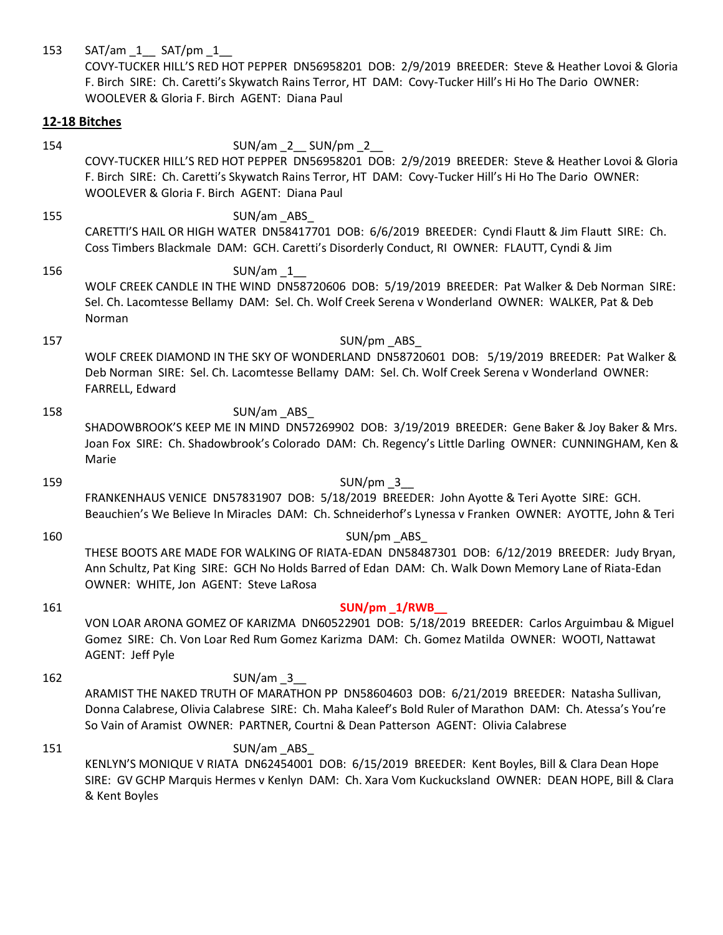| 153 | SAT/am 1 SAT/pm 1<br>COVY-TUCKER HILL'S RED HOT PEPPER DN56958201 DOB: 2/9/2019 BREEDER: Steve & Heather Lovoi & Gloria<br>F. Birch SIRE: Ch. Caretti's Skywatch Rains Terror, HT DAM: Covy-Tucker Hill's Hi Ho The Dario OWNER:<br>WOOLEVER & Gloria F. Birch AGENT: Diana Paul                              |
|-----|---------------------------------------------------------------------------------------------------------------------------------------------------------------------------------------------------------------------------------------------------------------------------------------------------------------|
|     | 12-18 Bitches                                                                                                                                                                                                                                                                                                 |
| 154 | SUN/am_2__SUN/pm_2__<br>COVY-TUCKER HILL'S RED HOT PEPPER DN56958201 DOB: 2/9/2019 BREEDER: Steve & Heather Lovoi & Gloria<br>F. Birch SIRE: Ch. Caretti's Skywatch Rains Terror, HT DAM: Covy-Tucker Hill's Hi Ho The Dario OWNER:<br>WOOLEVER & Gloria F. Birch AGENT: Diana Paul                           |
| 155 | SUN/am_ABS_<br>CARETTI'S HAIL OR HIGH WATER DN58417701 DOB: 6/6/2019 BREEDER: Cyndi Flautt & Jim Flautt SIRE: Ch.<br>Coss Timbers Blackmale DAM: GCH. Caretti's Disorderly Conduct, RI OWNER: FLAUTT, Cyndi & Jim                                                                                             |
| 156 | $SUN/am$ 1<br>WOLF CREEK CANDLE IN THE WIND DN58720606 DOB: 5/19/2019 BREEDER: Pat Walker & Deb Norman SIRE:<br>Sel. Ch. Lacomtesse Bellamy DAM: Sel. Ch. Wolf Creek Serena v Wonderland OWNER: WALKER, Pat & Deb<br>Norman                                                                                   |
| 157 | SUN/pm ABS<br>WOLF CREEK DIAMOND IN THE SKY OF WONDERLAND DN58720601 DOB: 5/19/2019 BREEDER: Pat Walker &<br>Deb Norman SIRE: Sel. Ch. Lacomtesse Bellamy DAM: Sel. Ch. Wolf Creek Serena v Wonderland OWNER:<br>FARRELL, Edward                                                                              |
| 158 | SUN/am_ABS_<br>SHADOWBROOK'S KEEP ME IN MIND DN57269902 DOB: 3/19/2019 BREEDER: Gene Baker & Joy Baker & Mrs.<br>Joan Fox SIRE: Ch. Shadowbrook's Colorado DAM: Ch. Regency's Little Darling OWNER: CUNNINGHAM, Ken &<br>Marie                                                                                |
| 159 | $SUN/pm_3$<br>FRANKENHAUS VENICE DN57831907 DOB: 5/18/2019 BREEDER: John Ayotte & Teri Ayotte SIRE: GCH.<br>Beauchien's We Believe In Miracles DAM: Ch. Schneiderhof's Lynessa v Franken OWNER: AYOTTE, John & Teri                                                                                           |
| 160 | SUN/pm_ABS_<br>THESE BOOTS ARE MADE FOR WALKING OF RIATA-EDAN DN58487301 DOB: 6/12/2019 BREEDER: Judy Bryan,<br>Ann Schultz, Pat King SIRE: GCH No Holds Barred of Edan DAM: Ch. Walk Down Memory Lane of Riata-Edan<br>OWNER: WHITE, Jon AGENT: Steve LaRosa                                                 |
| 161 | SUN/pm 1/RWB<br>VON LOAR ARONA GOMEZ OF KARIZMA DN60522901 DOB: 5/18/2019 BREEDER: Carlos Arguimbau & Miguel<br>Gomez SIRE: Ch. Von Loar Red Rum Gomez Karizma DAM: Ch. Gomez Matilda OWNER: WOOTI, Nattawat<br>AGENT: Jeff Pyle                                                                              |
| 162 | $SUN(am_3$<br>ARAMIST THE NAKED TRUTH OF MARATHON PP DN58604603 DOB: 6/21/2019 BREEDER: Natasha Sullivan,<br>Donna Calabrese, Olivia Calabrese SIRE: Ch. Maha Kaleef's Bold Ruler of Marathon DAM: Ch. Atessa's You're<br>So Vain of Aramist OWNER: PARTNER, Courtni & Dean Patterson AGENT: Olivia Calabrese |
| 151 | SUN/am_ABS_<br>KENLYN'S MONIQUE V RIATA DN62454001 DOB: 6/15/2019 BREEDER: Kent Boyles, Bill & Clara Dean Hope<br>SIRE: GV GCHP Marquis Hermes v Kenlyn DAM: Ch. Xara Vom Kuckucksland OWNER: DEAN HOPE, Bill & Clara                                                                                         |

& Kent Boyles

SIRE: GV GCHP Marquis Hermes v Kenlyn DAM: Ch. Xara Vom Kuckucksland OWNER: DEAN HOPE, Bill & Clara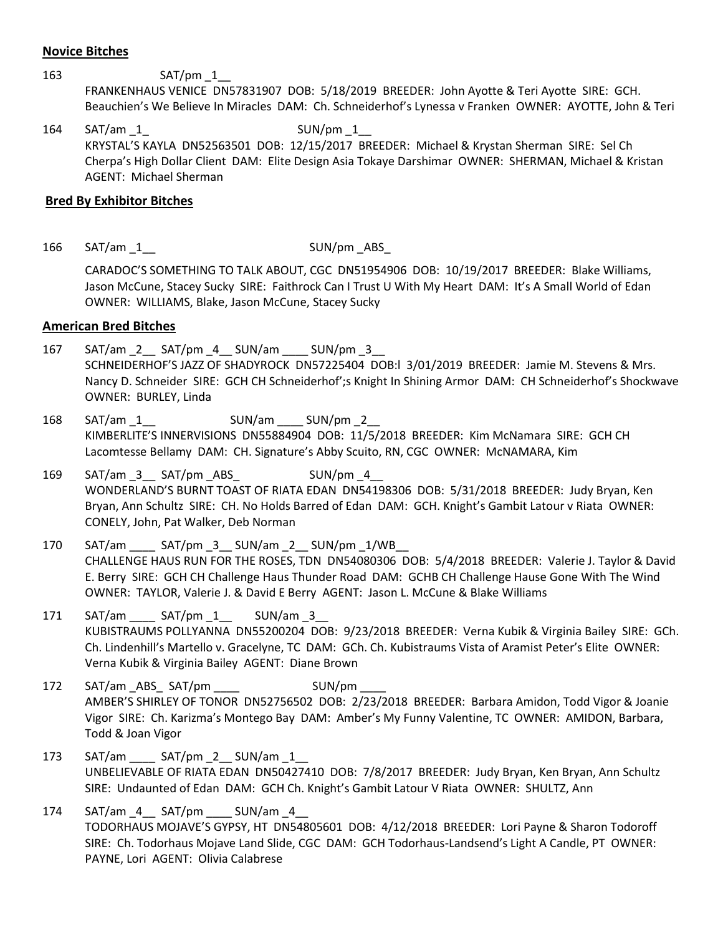#### **Novice Bitches**

#### 163 SAT/pm 1

FRANKENHAUS VENICE DN57831907 DOB: 5/18/2019 BREEDER: John Ayotte & Teri Ayotte SIRE: GCH. Beauchien's We Believe In Miracles DAM: Ch. Schneiderhof's Lynessa v Franken OWNER: AYOTTE, John & Teri

164 SAT/am 1 SUN/pm 1 KRYSTAL'S KAYLA DN52563501 DOB: 12/15/2017 BREEDER: Michael & Krystan Sherman SIRE: Sel Ch Cherpa's High Dollar Client DAM: Elite Design Asia Tokaye Darshimar OWNER: SHERMAN, Michael & Kristan AGENT: Michael Sherman

#### **Bred By Exhibitor Bitches**

166 SAT/am 1 SUN/pm ABS

CARADOC'S SOMETHING TO TALK ABOUT, CGC DN51954906 DOB: 10/19/2017 BREEDER: Blake Williams, Jason McCune, Stacey Sucky SIRE: Faithrock Can I Trust U With My Heart DAM: It's A Small World of Edan OWNER: WILLIAMS, Blake, Jason McCune, Stacey Sucky

## **American Bred Bitches**

- 167 SAT/am 2 SAT/pm 4 SUN/am \_\_\_ SUN/pm 3 SCHNEIDERHOF'S JAZZ OF SHADYROCK DN57225404 DOB:l 3/01/2019 BREEDER: Jamie M. Stevens & Mrs. Nancy D. Schneider SIRE: GCH CH Schneiderhof';s Knight In Shining Armor DAM: CH Schneiderhof's Shockwave OWNER: BURLEY, Linda
- 168 SAT/am 1 \_\_\_\_ SUN/am \_\_\_ SUN/pm 2 KIMBERLITE'S INNERVISIONS DN55884904 DOB: 11/5/2018 BREEDER: Kim McNamara SIRE: GCH CH Lacomtesse Bellamy DAM: CH. Signature's Abby Scuito, RN, CGC OWNER: McNAMARA, Kim
- 169 SAT/am 3 SAT/pm ABS 5UN/pm 4 WONDERLAND'S BURNT TOAST OF RIATA EDAN DN54198306 DOB: 5/31/2018 BREEDER: Judy Bryan, Ken Bryan, Ann Schultz SIRE: CH. No Holds Barred of Edan DAM: GCH. Knight's Gambit Latour v Riata OWNER: CONELY, John, Pat Walker, Deb Norman
- 170 SAT/am \_\_\_\_\_ SAT/pm \_3 \_\_ SUN/am \_2 \_ SUN/pm \_1/WB CHALLENGE HAUS RUN FOR THE ROSES, TDN DN54080306 DOB: 5/4/2018 BREEDER: Valerie J. Taylor & David E. Berry SIRE: GCH CH Challenge Haus Thunder Road DAM: GCHB CH Challenge Hause Gone With The Wind OWNER: TAYLOR, Valerie J. & David E Berry AGENT: Jason L. McCune & Blake Williams
- 171 SAT/am \_\_\_\_\_ SAT/pm \_1 \_\_\_\_\_ SUN/am \_3 KUBISTRAUMS POLLYANNA DN55200204 DOB: 9/23/2018 BREEDER: Verna Kubik & Virginia Bailey SIRE: GCh. Ch. Lindenhill's Martello v. Gracelyne, TC DAM: GCh. Ch. Kubistraums Vista of Aramist Peter's Elite OWNER: Verna Kubik & Virginia Bailey AGENT: Diane Brown
- 172 SAT/am ABS SAT/pm \_\_\_\_\_\_ SUN/pm AMBER'S SHIRLEY OF TONOR DN52756502 DOB: 2/23/2018 BREEDER: Barbara Amidon, Todd Vigor & Joanie Vigor SIRE: Ch. Karizma's Montego Bay DAM: Amber's My Funny Valentine, TC OWNER: AMIDON, Barbara, Todd & Joan Vigor
- 173 SAT/am SAT/pm 2 SUN/am 1 UNBELIEVABLE OF RIATA EDAN DN50427410 DOB: 7/8/2017 BREEDER: Judy Bryan, Ken Bryan, Ann Schultz SIRE: Undaunted of Edan DAM: GCH Ch. Knight's Gambit Latour V Riata OWNER: SHULTZ, Ann
- 174 SAT/am 4 SAT/pm SUN/am 4 TODORHAUS MOJAVE'S GYPSY, HT DN54805601 DOB: 4/12/2018 BREEDER: Lori Payne & Sharon Todoroff SIRE: Ch. Todorhaus Mojave Land Slide, CGC DAM: GCH Todorhaus-Landsend's Light A Candle, PT OWNER: PAYNE, Lori AGENT: Olivia Calabrese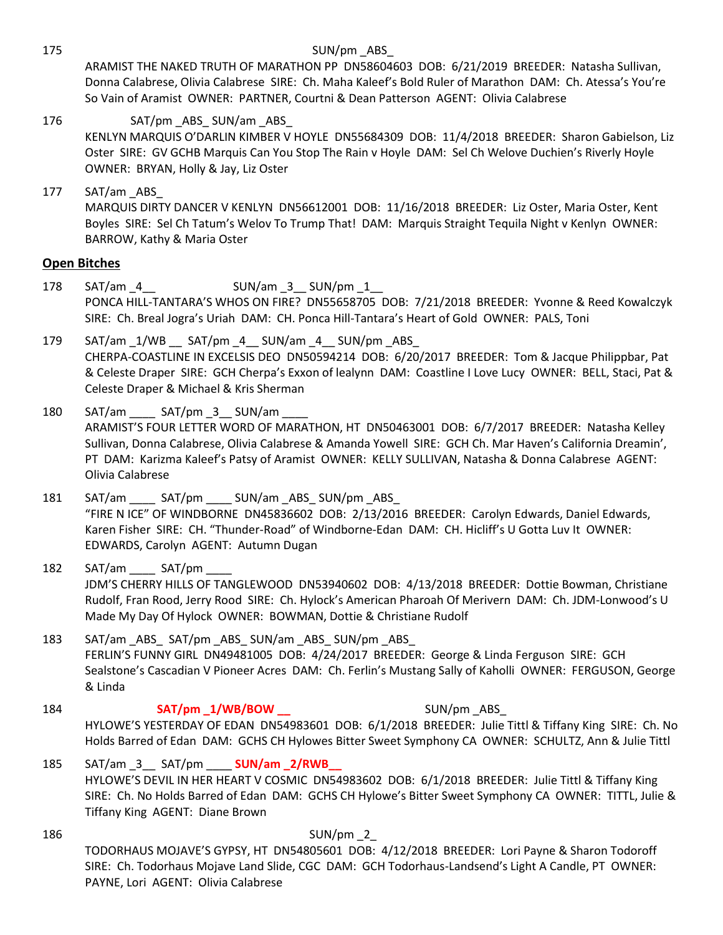175 SUN/pm ABS

ARAMIST THE NAKED TRUTH OF MARATHON PP DN58604603 DOB: 6/21/2019 BREEDER: Natasha Sullivan, Donna Calabrese, Olivia Calabrese SIRE: Ch. Maha Kaleef's Bold Ruler of Marathon DAM: Ch. Atessa's You're So Vain of Aramist OWNER: PARTNER, Courtni & Dean Patterson AGENT: Olivia Calabrese

176 SAT/pm ABS\_SUN/am ABS KENLYN MARQUIS O'DARLIN KIMBER V HOYLE DN55684309 DOB: 11/4/2018 BREEDER: Sharon Gabielson, Liz Oster SIRE: GV GCHB Marquis Can You Stop The Rain v Hoyle DAM: Sel Ch Welove Duchien's Riverly Hoyle OWNER: BRYAN, Holly & Jay, Liz Oster

177 SAT/am ABS MARQUIS DIRTY DANCER V KENLYN DN56612001 DOB: 11/16/2018 BREEDER: Liz Oster, Maria Oster, Kent Boyles SIRE: Sel Ch Tatum's Welov To Trump That! DAM: Marquis Straight Tequila Night v Kenlyn OWNER: BARROW, Kathy & Maria Oster

# **Open Bitches**

- 178 SAT/am 4 SUN/am 3 SUN/pm 1 PONCA HILL-TANTARA'S WHOS ON FIRE? DN55658705 DOB: 7/21/2018 BREEDER: Yvonne & Reed Kowalczyk SIRE: Ch. Breal Jogra's Uriah DAM: CH. Ponca Hill-Tantara's Heart of Gold OWNER: PALS, Toni
- 179 SAT/am \_1/WB \_\_ SAT/pm \_4\_\_ SUN/am \_4\_\_ SUN/pm \_ABS\_ CHERPA-COASTLINE IN EXCELSIS DEO DN50594214 DOB: 6/20/2017 BREEDER: Tom & Jacque Philippbar, Pat & Celeste Draper SIRE: GCH Cherpa's Exxon of lealynn DAM: Coastline I Love Lucy OWNER: BELL, Staci, Pat & Celeste Draper & Michael & Kris Sherman
- 180 SAT/am \_\_\_\_ SAT/pm \_3\_\_ SUN/am \_\_\_\_ ARAMIST'S FOUR LETTER WORD OF MARATHON, HT DN50463001 DOB: 6/7/2017 BREEDER: Natasha Kelley Sullivan, Donna Calabrese, Olivia Calabrese & Amanda Yowell SIRE: GCH Ch. Mar Haven's California Dreamin', PT DAM: Karizma Kaleef's Patsy of Aramist OWNER: KELLY SULLIVAN, Natasha & Donna Calabrese AGENT: Olivia Calabrese
- 181 SAT/am SAT/pm SUN/am ABS\_ SUN/pm ABS "FIRE N ICE" OF WINDBORNE DN45836602 DOB: 2/13/2016 BREEDER: Carolyn Edwards, Daniel Edwards, Karen Fisher SIRE: CH. "Thunder-Road" of Windborne-Edan DAM: CH. Hicliff's U Gotta Luv It OWNER: EDWARDS, Carolyn AGENT: Autumn Dugan
- 182 SAT/am SAT/pm JDM'S CHERRY HILLS OF TANGLEWOOD DN53940602 DOB: 4/13/2018 BREEDER: Dottie Bowman, Christiane Rudolf, Fran Rood, Jerry Rood SIRE: Ch. Hylock's American Pharoah Of Merivern DAM: Ch. JDM-Lonwood's U Made My Day Of Hylock OWNER: BOWMAN, Dottie & Christiane Rudolf

183 SAT/am ABS SAT/pm ABS SUN/am ABS SUN/pm ABS FERLIN'S FUNNY GIRL DN49481005 DOB: 4/24/2017 BREEDER: George & Linda Ferguson SIRE: GCH Sealstone's Cascadian V Pioneer Acres DAM: Ch. Ferlin's Mustang Sally of Kaholli OWNER: FERGUSON, George & Linda

184 **SAT/pm 1/WB/BOW SUN/pm ABS** HYLOWE'S YESTERDAY OF EDAN DN54983601 DOB: 6/1/2018 BREEDER: Julie Tittl & Tiffany King SIRE: Ch. No Holds Barred of Edan DAM: GCHS CH Hylowes Bitter Sweet Symphony CA OWNER: SCHULTZ, Ann & Julie Tittl

185 SAT/am \_3\_\_ SAT/pm \_\_\_\_ **SUN/am \_2/RWB\_\_** HYLOWE'S DEVIL IN HER HEART V COSMIC DN54983602 DOB: 6/1/2018 BREEDER: Julie Tittl & Tiffany King SIRE: Ch. No Holds Barred of Edan DAM: GCHS CH Hylowe's Bitter Sweet Symphony CA OWNER: TITTL, Julie & Tiffany King AGENT: Diane Brown

186 SUN/pm 2 TODORHAUS MOJAVE'S GYPSY, HT DN54805601 DOB: 4/12/2018 BREEDER: Lori Payne & Sharon Todoroff SIRE: Ch. Todorhaus Mojave Land Slide, CGC DAM: GCH Todorhaus-Landsend's Light A Candle, PT OWNER: PAYNE, Lori AGENT: Olivia Calabrese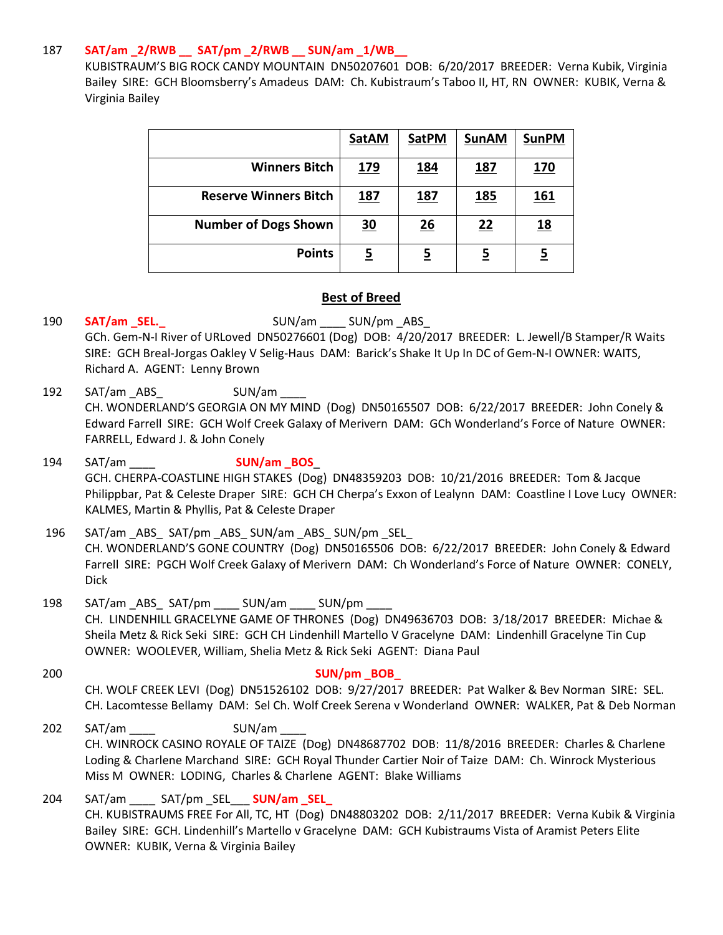## 187 **SAT/am \_2/RWB \_\_ SAT/pm \_2/RWB \_\_ SUN/am \_1/WB\_\_**

KUBISTRAUM'S BIG ROCK CANDY MOUNTAIN DN50207601 DOB: 6/20/2017 BREEDER: Verna Kubik, Virginia Bailey SIRE: GCH Bloomsberry's Amadeus DAM: Ch. Kubistraum's Taboo II, HT, RN OWNER: KUBIK, Verna & Virginia Bailey

|                              | <b>SatAM</b> | <b>SatPM</b> | <b>SunAM</b> | <b>SunPM</b> |
|------------------------------|--------------|--------------|--------------|--------------|
| <b>Winners Bitch</b>         | <u>179</u>   | <u> 184</u>  | <u> 187</u>  | <u> 170</u>  |
| <b>Reserve Winners Bitch</b> | <u>187</u>   | <u>187</u>   | <u>185</u>   | <u> 161</u>  |
| <b>Number of Dogs Shown</b>  | <u>30</u>    | 26           | 22           | <u>18</u>    |
| <b>Points</b>                | <u>5</u>     | <u>5</u>     | <u>5</u>     |              |

## **Best of Breed**

# 190 **SAT/am\_SEL.**<br>SUN/am \_\_\_ SUN/pm\_ABS\_

GCh. Gem-N-I River of URLoved DN50276601 (Dog) DOB: 4/20/2017 BREEDER: L. Jewell/B Stamper/R Waits SIRE: GCH Breal-Jorgas Oakley V Selig-Haus DAM: Barick's Shake It Up In DC of Gem-N-I OWNER: WAITS, Richard A. AGENT: Lenny Brown

192 SAT/am \_ABS\_ SUN/am \_\_\_\_ CH. WONDERLAND'S GEORGIA ON MY MIND (Dog) DN50165507 DOB: 6/22/2017 BREEDER: John Conely & Edward Farrell SIRE: GCH Wolf Creek Galaxy of Merivern DAM: GCh Wonderland's Force of Nature OWNER: FARRELL, Edward J. & John Conely

194 SAT/am \_\_\_\_ **SUN/am \_BOS**\_ GCH. CHERPA-COASTLINE HIGH STAKES (Dog) DN48359203 DOB: 10/21/2016 BREEDER: Tom & Jacque Philippbar, Pat & Celeste Draper SIRE: GCH CH Cherpa's Exxon of Lealynn DAM: Coastline I Love Lucy OWNER: KALMES, Martin & Phyllis, Pat & Celeste Draper

196 SAT/am ABS SAT/pm ABS SUN/am ABS SUN/pm SEL CH. WONDERLAND'S GONE COUNTRY (Dog) DN50165506 DOB: 6/22/2017 BREEDER: John Conely & Edward Farrell SIRE: PGCH Wolf Creek Galaxy of Merivern DAM: Ch Wonderland's Force of Nature OWNER: CONELY, Dick

- 198 SAT/am \_ABS\_ SAT/pm \_\_\_\_ SUN/am \_\_\_\_ SUN/pm \_\_\_\_ CH. LINDENHILL GRACELYNE GAME OF THRONES (Dog) DN49636703 DOB: 3/18/2017 BREEDER: Michae & Sheila Metz & Rick Seki SIRE: GCH CH Lindenhill Martello V Gracelyne DAM: Lindenhill Gracelyne Tin Cup OWNER: WOOLEVER, William, Shelia Metz & Rick Seki AGENT: Diana Paul
- 200 **SUN/pm \_BOB\_** CH. WOLF CREEK LEVI (Dog) DN51526102 DOB: 9/27/2017 BREEDER: Pat Walker & Bev Norman SIRE: SEL. CH. Lacomtesse Bellamy DAM: Sel Ch. Wolf Creek Serena v Wonderland OWNER: WALKER, Pat & Deb Norman
- 202 SAT/am SUN/am CH. WINROCK CASINO ROYALE OF TAIZE (Dog) DN48687702 DOB: 11/8/2016 BREEDER: Charles & Charlene Loding & Charlene Marchand SIRE: GCH Royal Thunder Cartier Noir of Taize DAM: Ch. Winrock Mysterious Miss M OWNER: LODING, Charles & Charlene AGENT: Blake Williams

204 SAT/am \_\_\_\_ SAT/pm \_SEL\_\_\_ **SUN/am \_SEL\_** CH. KUBISTRAUMS FREE For All, TC, HT (Dog) DN48803202 DOB: 2/11/2017 BREEDER: Verna Kubik & Virginia Bailey SIRE: GCH. Lindenhill's Martello v Gracelyne DAM: GCH Kubistraums Vista of Aramist Peters Elite OWNER: KUBIK, Verna & Virginia Bailey